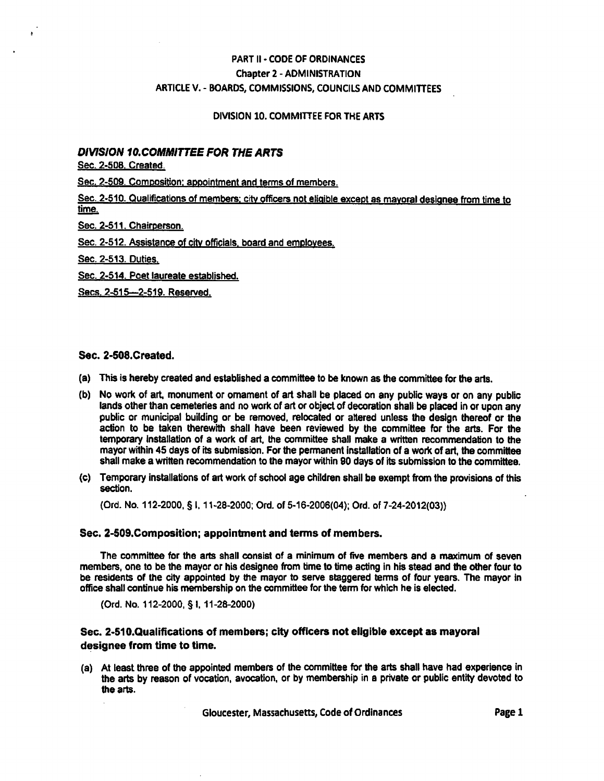## PART II - CODE OF ORDINANCES Chapter 2 - ADMINISTRATION ARTICLE V. - BOARDS, COMMISSIONS, COUNCILS AND COMMITTEES

#### DIVISION 10. COMMITTEE FOR THE ARTS

#### DIVISION 10.COMMITTEE FOR THE ARTS

Sec. 2-508. Created.

 $\bullet$ 

Sec. 2-509. Composition: appointment and terms of members.

Sec. 2-510. Qualifications of members; city officers not eligible except as mayoral designee from time to time.

Sec. 2-511. Chairperson.

Sec. 2-512. Assistance of citv officials, board and employees.

Sec. 2-513. Duties.

Sec. 2-514. Poet laureate established.

Secs. 2-515---2-519. Reserved.

#### Sec. 2-508.Created.

- (a) This is hereby created and established a committee to be known as the committee for the arts.
- (b) No work of art, monument or ornament of art shall be placed on any public ways or on any public lands other than cemeteries and no work of art or object of decoration shall be placed in or upon any public or municipal building or be removed, relocated or altered unless the design thereof or the action to be taken therewith shall have been reviewed by the committee for the arts. For the temporary installation of a work of art, the committee shall make a written recommendation to the mayor within 45 days of its submission. For the permanent installation of a work of art, the committee shall make a written recommendation to the mayor within 90 days of its submission to the committee.
- (c) Temporary installations of art work of school age children shall be exempt from the provisions of this section.

(Ord. No. 112-2000, § 1,11-28-2000; Ord. of 5-16-2006(04); Ord. of 7-24-2012(03))

#### Sec. 2-509.Composition; appointment and terms of members.

The committee for the arts shall consist of a minimum of five members and a maximum of seven members, one to be the mayor or his designee from time to time acting in his stead and the other four to be residents of the city appointed by the mayor to serve staggered terms of four years. The mayor in office shall continue his membership on the committee for the term for which he is elected.

(Ord. No. 112-2000, § I, 11-28-2000)

#### Sec. 2-510.Qualifications of members; city officers not eligible except as mayoral designee from time to time.

(a) At least three of the appointed members of the committee for the arts shall have had experience in the arts by reason of vocation, avocation, or by membership in a private or public entity devoted to the arts.

Gloucester, Massachusetts, Code of Ordinances **Exercise Page 1**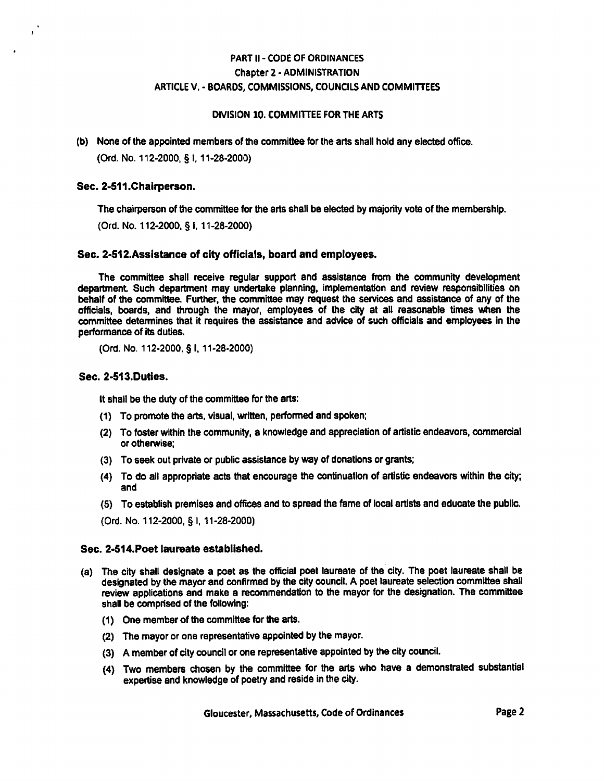### PART II - CODE OF ORDINANCES Chapter 2 • ADMINISTRATION ARTICLE V. - BOARDS, COMMISSIONS, COUNCILS AND COMMITTEES

#### DIVISION 10. COMMITTEE FOR THE ARTS

(b) None of the appointed members of the committee for the arts shali hoid any elected office.

(Ord. No. 112-2000, § 1,11-28-2000)

#### Sec. 2-511.Chairperson.

The chairperson of die committee for the arts shall be elected by majority vote of the membership.

(Ord. No. 112-2000, § 1.11-28-2000)

#### Sec. 2-512.Assistance of city officials, board and employees.

The committee shall receive regular support and assistance from the community development department Such department may undertake planning, implementation and review responsibilities on behalf of the committee. Further, the committee may request the services and assistance of any of the officials, boards, and through the mayor, employees of the city at all reasonable times when the committee determines that it requires the assistance and advice of such officials and employees in the performance of its duties.

(Ord. No. 112-2000. § I, 11-28-2000)

#### Sec. 2-513.Duties.

It shall be the duty of the committee for the arts:

- (1) To promote the arts, visual, written, performed and spoken;
- (2) To foster within the community, a knowledge and appreciation of artistic endeavors, commercial or otherwise;
- (3) To seek out private or public assistance by way of donations or grants;
- (4) To do all appropriate acts that encourage the continuation of artistic endeavors within the city; and
- (5) To establish premises and offices and to spread the fame of local artists and educate the public.
- (Ord. No. 112-2000, § I, 11-28-2000)

#### Sec. 2-S14.Poet laureate established.

- (a) The city shall designate a poet as the official poet laureate of the city. The poet laureate shall be designated by the mayor and confirmed by the city council. A poet laureate selection committee shall review applications and make a recommendation to the mayor for the designation. The committee shall be comprised of the following:
	- (1) One member of the committee for the arts.
	- (2) The mayor or one representative appointed by the mayor.
	- (3) A member of city council or one representative appointed by the city council.
	- (4) Two members chosen by the committee for the arts who have a demonstrated substantial expertise and knowledge of poetry and reside in the city.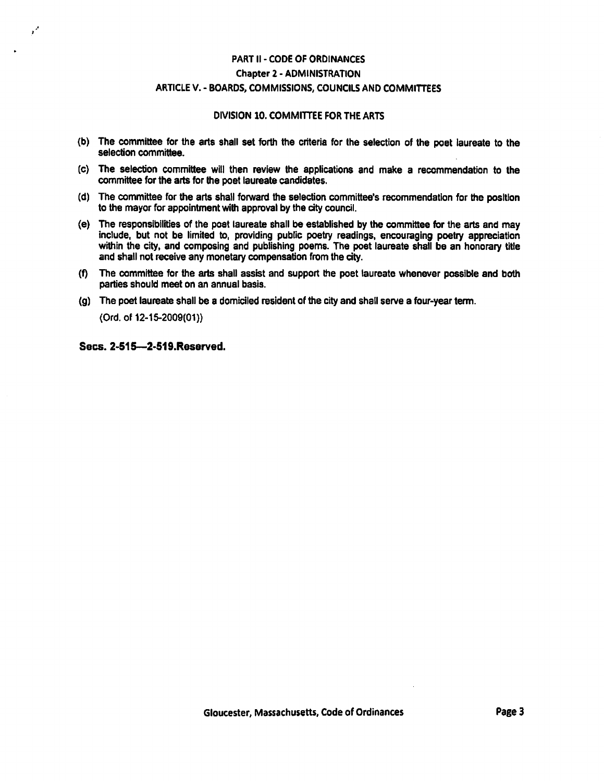## PART II • CODE OF ORDINANCES Chapter 2 - ADMINISTRATION ARTICLE V. - BOARDS, COMMISSIONS, COUNCILS AND COMMITTEES

#### DIVISION 10. COMMITTEE FOR THE ARTS

- (b) The committee for the arts shall set forth the criteria for the selection of the poet laureate to the selection committee.
- (c) The selection committee will then review the applications and make a recommendation to the committee for the arts for the poet laureate candidates.
- (d) The committee for the arts shall forward the selection committee's recommendation for the position to the mayor for appointment with approval by the city council.
- (e) The responsibilities of the poet laureate shall be established by the committee for the arts and may include, but not be limited to, providing public poetry readings, encouraging poetry appreciation within the city, and composing and publishing poems. The poet laureate shall be an honorary title and shall not receive any monetary compensation from the city.
- (f) The committee for the arts shall assist and support the poet laureate whenever possible and both parties should meet on an annual basis.
- (g) The poet laureate shall be a domiciled resident of the city and shall serve a four-year term.

(Ord. of 12-15-2009(01})

Sees. 2-S1S—2-519.Reserved.